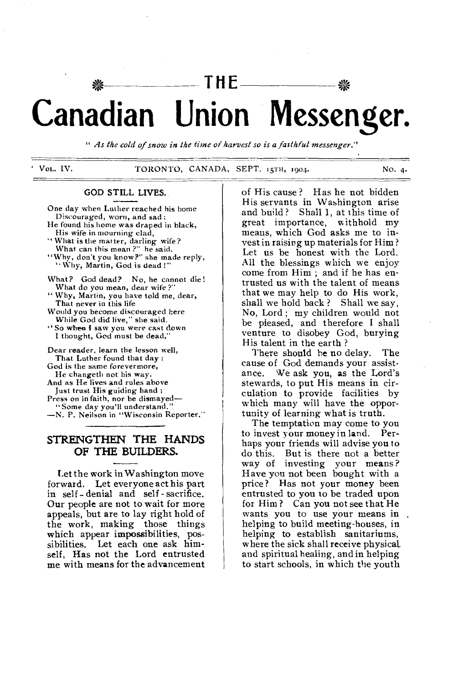# ins **THE Canadian Union Messenger.**

*" As the cold of snow in the time of harvest so is a faithful messenger."* 

VOL. IV. TORONTO, CANADA, SEPT. 15TH, 1904. No. 4.

# **GOD STILL LIVES.**

One day when Luther reached his home Discouraged, worn, and sad : He found his home was draped in black, His wife in mourning clad, " What is the matter, darling wife?

What can this mean?" he said. "Why, don't you know?" she made reply,

" Why, Martin, God is dead !"

- What? God dead? No, he cannot die! What do you mean, dear wife ?"
- " Why, Martin, you have told me, dear, That never in this life

Would you become discouraged here While God did live," she said.

•' So when I saw you were cast down I thought, God must be dead."

Dear reader, learn the lesson well, That Luther found that day : God is the same forevermore, He changeth not his way. And as He lives and rules above Just trust His guiding hand ; Press on in faith, nor be dismayed— "Some day you'll understand." --N. P. Neilson in "Wisconsin Reporter."

# **STRENGTHEN THE HANDS OF THE BUILDERS.**

Let the work in Washington move forward. Let everyone act his part in self - denial and self - sacrifice. Our people are not to wait for more appeals, but are to lay right hold of the work, making those things which appear impossibilities, possibilities. Let each one ask himself, Has not the Lord entrusted me with means for the advancement

of His cause ? Has he not bidden His servants in Washington arise and build? Shall 1, at this time of great importance, withhold my means, which God asks me to invest in raising up materials for Him ? Let us be honest with the Lord. All the blessings which we enjoy come from Him ; and if he has entrusted us with the talent of means that we may help to do His work, shall we hold back ? Shall we say, No, Lord ; my children would not be pleased, and therefore I shall venture to disobey God, burying His talent in the earth ?

There should be no delay. The cause of God demands your assistance. We ask you, as the Lord's stewards, to put His means in circulation to provide facilities by which many will have the opportunity of learning what is truth.

The temptation may come to you to invest *y*our money in land. Perhaps your friends will advise you to do this. But is there not a better way of investing your means? Have you not been bought with a price? Has not your money been entrusted to you to be traded upon for Him ? Can you not see that He wants you to use your means in. helping to build meeting-houses, in helping to establish sanitariums, where the sick shall receive physical. and spiritual healing, and in helping to start schools, in which the youth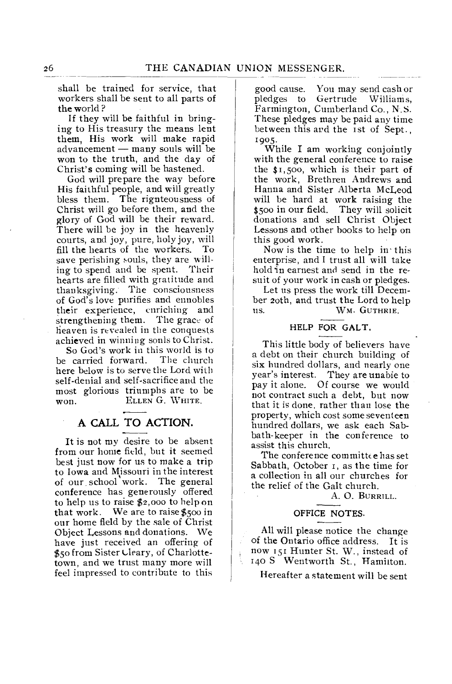shall be trained for service, that workers shall be sent to all parts of the world ?

If they will be faithful in bringing to His treasury the means lent them, His work will make rapid  $ad$ vancement — many souls will be won to the truth, and the day of Christ's coming will be hastened.

God will prepare the way before His faithful people, and will greatly bless them. The rignteousness of Christ will go before them, and the glory of God will be their reward. There will be joy in the heavenly courts, and joy, pure, holy joy, will fill the hearts of the workers. To save perishing souls, they are willing to spend and be spent. Their hearts are filled with gratitude and thanksgiving: The consciousness of God's love purifies and ennobles their experience, enriching and strengthening them. The grace of heaven is revealed in the conquests achieved in winning sonls to Christ.

So God's work in this world is to<br>carried forward. The church be carried forward. here below is to serve the Lord with self-denial and self-sacrifice and the most glorious triumphs are to be WON. ELLEN G. WHITE.

# A CALL TO ACTION.

It is not my desire to be absent from our home field, but it seemed best just now for us to make a trip to Iowa and Missouri in the interest of our school work. The general conference has generously offered to help us to raise \$2,000 to help on that work. We are to raise \$500 in our home field by the sale of Christ Object Lessons and donations. We have just received an offering of \$50 from Sister Lleary, of Charlottetown, and we trust many more will feel impressed to contribute to this

good cause. You may send cash or Gertrude Williams, Farmington, Cumberland Co., N.S. These pledges may be paid any time between this and the 1st of Sept., 1905.

While I am working conjointly with the general conference to raise the \$1,500, which is their part of the work, Brethren Andrews and Hanna and Sister Alberta McLeod will be hard at work raising the \$500 in our field. They will solicit donations and sell Christ Object Lessons and other hooks to help on this good work.

Now is the time to help in• this enterprise, and I trust all will take hold 'in earnest and send in the resuit of your work in cash or pledges.

Let us press the work till December 20th, and trust the Lord to help WM. GUTHRIE. us.

# HELP FOR GALT.

This little body of believers have a debt on their church building of six hundred dollars, and nearly one year's interest. They are unabie to<br>pay it alone. Of course we would Of course we would not contract such a debt, but now that it is done, rather than lose the property, which cost some seventeen hundred dollars, we ask each Sabbath-keeper in the conference to assist this church.

The conference committee has set Sabbath, October 1, as the time for a collection in all our churches for the relief of the Galt church.

A. 0. BURRILL.

### OFFICE NOTES.

All will please notice the change of the Ontario office address. It is now 151 Hunter St. W., instead of 140 S Wentworth St., Hamilton.

# Hereafter a statement will be sent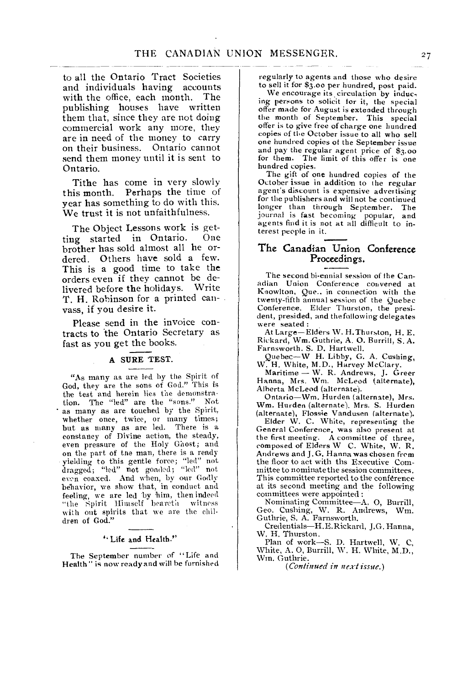to all the Ontario Tract Societies and individuals having accounts<br>with the office each month. The with the office, each month. publishing houses have written them that, since they are not doing commercial work any more, they are in need of the money to carry on their business. Ontario cannot send them money until it is sent to Ontario.

Tithe has come in very slowly this month. Perhaps the time of year has something to do with this. We trust it is not unfaithfulness.

The Object Lessons work is get-<br>as started in Ontario. One ting started in Ontario. brother has sold almost all he ordered. Others have sold a few. This is a good time to take the orders even if they cannot be de-<br>livered before the holidays. Write livered before the holidays. T. H. Robinson for a printed canvass, if you desire it.

Please send in the invoice contracts to the Ontario Secretary as fast as you get the books.

#### A SURE TEST.

"As many as are led by the Spirit of God, they are the sons of God." This is the test and herein lies the demonstration. The "led" are the "sons." Not as many as are touched by the Spirit, whether once, twice, or many times; but as many as are led. There is a constancy of Divine action, the steady, even pressure of the Holy Ghost; and on the part of tne man, there is a ready yielding to this gentle force; "led" not dragged; "led" not goaded; "led" not even coaxed. And when, by our Godly behavior, we show that, in conduct and feeling, we are led by him, then indeed "the Spirit Himself beareth with out spirits that we are the children of God."

#### " Life and Health."

The September number of "Life and Health" is now ready and will he furnished regularly to agents and those who desire to sell it for \$3.00 per hundred, post paid.

We encourage its, circulation by inducing persons to solicit for it, the special offer made for August is extended through the month of September. This special offer is to give free of charge one hundred copies of the October issue to all who sell one hundred copies of the September issue and pay the regular agent price of \$3.00 for them. The limit of this offer is one hundred copies.

The gift of one hundred copies of the October issue in addition to the regular agent's discount is expensive advertising for the publishers and will not be continued longer than through September. The journal is fast becoming popular, and agents find it is not at all difficult to interest people in it.

# The Canadian Union Conference Proceedings.

The second bi-ennial session of the Canadian Union Conference convened at Knowlton, Que.. in connection with the twenty-fifth annual session of the Quebec Conference. Elder Thurston, the president, presided, and the following delegates were seated :

At Large—Elders W. H.Thurston, H. E. Rickard, Wm. Guthrie, A. 0. Burrill, S. A. Farnsworth. S. D. Hartwell. Quebec—W H. Libby, G. A. Cushing,

W. H. White, M.D., Harvey McClary.

Maritime — W. R. Andrews, J. Greer Hanna, Mrs. Wm. McLeod (alternate), Alberta McLeod (alternate).

Ontario—Wm. Hurden (alternate), Mrs. Wm. Hurden (alternate). Mrs. S. Hurden (alternate), Flossie Vandusen (alternate).

Elder W. C. White, representing the General Conference, was also present at the first meeting. A committee of three, composed of Elders W C. White, W. R. Andrews and J.G. Hanna was chosen from the floor to act with the Executive Committee to nominate the session committees. This committee reported to the conference at its second meeting and the following committees were appointed :

Nominating Committee—A. 0, Burrill, Geo. Cushing, W. R. Andrews, Wm. Guthrie, S. A. Farnsworth.

Credentials—H.E.Rickard, J.G. Hanna, W. H. Thurston.

Plan of work—S. D. Hartwell, W. C, White, A. 0, Burrill, W. H. White, M.D., Wm. Guthrie.

*(Continued in next issue.)*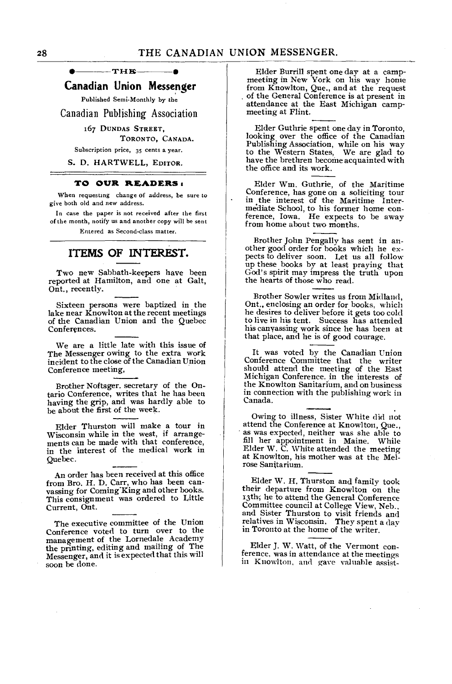$-$ THE

# **Canadian Union Messenger**

Published Semi-Monthly by the

Canadian Publishing Association

# 167 DUNDAS STREET,

#### TORONTO, CANADA.

Subscription price, 35 cents a year.

S. D. HARTWELL, EDITOR.

#### **TO OUR READERS**

When requesting change of address, be sure to give both old and new address.

In case the paper is not received after the first of the month, notify us and another copy will be sent Entered as Second-class matter.

# **ITEMS OF INTEREST.**

Two new Sabbath-keepers have been reported at Hamilton, and one at Galt, Ont., recently.

Sixteen persons were baptized in the lake near Knowlton at the recent meetings of the Canadian Union and the Quebec Conferences.

We are a little late with this issue of The Messenger owing to the extra work incident to the close of the Canadian Union Conference meeting,

Brother Noftsger. secretary of the Ontario Conference, writes that he has been having the grip, and was hardly able to be about the first of the week.

Elder Thurston will make a tour in Wisconsin while in the west, if arrangements can be made with that conference, in the interest of the medical work in Quebec.

An order has been received at this office from Bro. H. D. Carr, who has been canvassing for Coming King and other books. This consignment was ordered to Little Current, Ont.

The executive committee of the Union Conference voted to turn over to the management of the Lornedale Academy the printing, editing and mailing of The Messenger, and it is expected that this will soon be done.

Elder Burrill spent one day at a campmeeting in New York on his way home from Knowlton, Que., and at the request . of the General Conference is at present in attendance at the East Michigan campmeeting at Flint.

Elder Guthrie spent one day in Toronto, looking over the office of the Canadian Publishing Association, while on his way to the Western States, We are glad to have the brethren become acquainted with the office and its work.

Elder Wm. Guthrie, of the Maritime Conference, has gone on a soliciting tour in the interest of the Maritime Intermediate School, to his former home conference, Iowa. He expects to be away from home about two months.

Brother John Pengally has sent in another good order for hooks which he expects to deliver soon. Let us all follow up these books by at least praying that God's spirit may impress the truth upon the hearts of those who read.

Brother Sowler writes us from Midland, Ont., enclosing an order for books, which he desires to deliver before it gets too cold to live in his tent. Success has attended his canvassing work since he has been at that place, and he is of good courage.

It was voted by the Canadian Union Conference Committee that the writer should attend the meeting of the East Michigan Conference. in the interests of the Knowlton Sanitarium, and on business in connection with the publishing work in Canada.

Owing to illness, Sister White did not attend the Conference at Knowlton, Que., as was expected, neither was she able to fill her appointment in Maine. While Elder W. C. White attended the meeting at Knowlton, his mother was at the Melrose Sanitarium.

Elder W. H. Thurston and family took their departure from Knowlton on the 13th; he to attend the General Conference Committee council at College View, Neb., and Sister Thurston to visit friends and relatives in Wisconsin. They spent a day in Toronto at the home of the writer.

Elder J. W. Watt, of the Vermont conference, was in attendance at the meetings in Knowlton, and gave valuable assist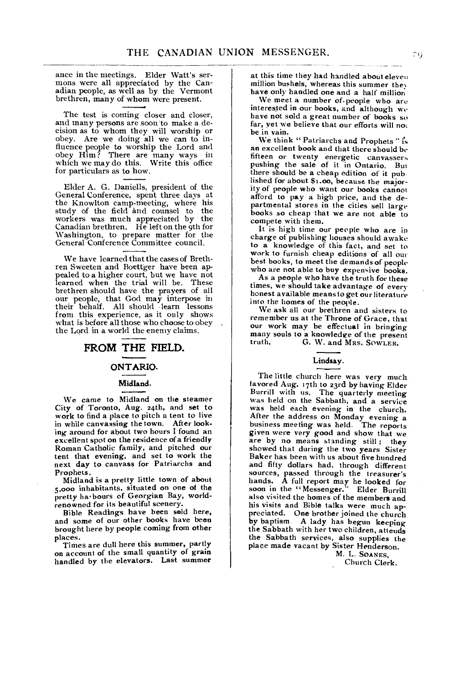ance in the meetings. Elder Watt's sermons were all appreciated by the Canadian people, as well as by the Vermont brethren, many of whom were present.

The test is coming closer and closer, and many persons are soon'to make a decision as to whom they will worship or obey. Are we doing all we can to influence people to worship the Lord and obey Him? There are many ways in which we may do this. Write this office for particulars as to how.

Elder A. G. Daniells, president of the General Conference, spent three days at the Knowlton camp-meeting, where his study of the field and counsel to the workers was much appreciated by the Canadian brethren. He left on the 9th for Washington, to prepare matter for the General Conference Committee council.

We have learned that the cases of Brethren Sweeten and Boettger have been appealed to a higher court, but we have not learned when the trial will be. These brethren should have the prayers of all our people, that God may interpose in their behalf. All should learn lessons from this experience, as it only shows what is before all those who choose to obey the Lord in a world the enemy claims.

# **FROM THE FIELD.**

#### **ONTARIO.**

# **Midland.**

We came to Midland on the steamer City of Toronto, Aug. 24th, and set to work to find a place to pitch a tent to live in while canvassing the town. After looking around for about two hours I found an excellent spot on the residence of a friendly Roman Catholic family, and pitched our tent that evening, and set to work the next day to canvass for Patriarchs and Prophets.

Midland is **a** pretty little town of about 5,000 inhabitants, situated on one of the pretty ha•bours of Georgian Bay, worldrenowned for its beautiful scenery.

Bible Readings have been sold here, and some of our other books have been brought here by people coming from other places.

Times are dull here this summer, partly on account of the small quantity of grain handled by the elevators. Last summer at this time they had handled about eleven million bushels, whereas this summer they have only handled one and a half million

We meet a number of. people who are interested in our books, and although we have not sold a great number of books so far, yet we believe that our efforts will not be in vain.

We think " Patriarchs and Prophets " is an excellent book and that there should be fifteen or twenty energetic canvassers pushing the sale of it in Ontario. But there should be a cheap edition of it pub lished *for* about \$t.00, because the majority of people who want our books cannot afford to pay a high price, and the departmental stores in the cities sell large books so cheap that we are not able to compete with them.

It is high time our people who are in charge of publishing houses should awake to **a** knowledge of this fact, and set to work to furnish cheap editions of all our best books, to meet the demands of people who are not able to buy expensive books.

As a people who have the truth for these times, we should take advantage of *every*  honest available means to get our literature into the homes of the people.

We ask all our brethren and sisters to remember us at the Throne of Grace, that our work may be effectual in bringing many souls to a knowledge of the present<br>truth. G. W. and MRS. SOWLER. G. W. and MRS. SOWLER.

#### **Lindsay.**

The little church here was very much favored Aug. 17th to 23rd by having Elder Burrill with us. The quarterly meeting was held on the Sabbath, and a service was held each evening in the church. After the address on Monday evening a business meeting was held. The reports given were very good and show that we are by no means standing still; they showed that during the two years Sister Baker has been with us about five hundred and fifty dollars had, through different sources, passed through the treasurer's hands. A full report may he looked for soon in the "Messenger." Elder Burrill also visited the homes of the members and his visits and Bible talks were much appreciated. One brother joined the church by baptism. A lady has begun keeping the Sabbath with her two children, attends the Sabbath services, also supplies the place made vacant by Sister Henderson.

M. L. SOANES, Church Clerk.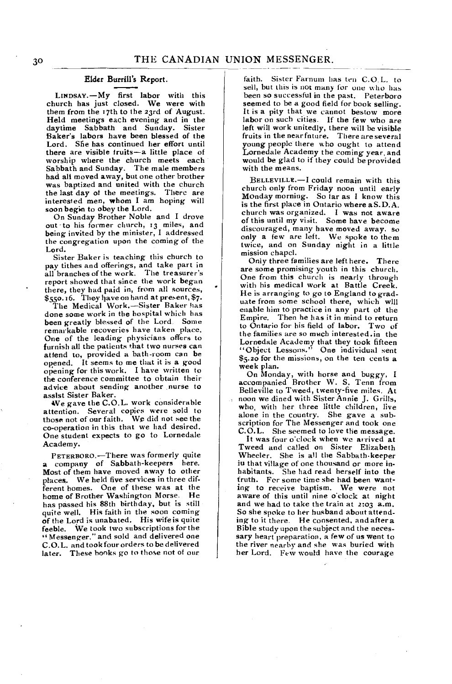#### Elder Burrill's Report.

LINDSAY.—My first labor with this church has just closed. We were with them from the 17th to the 23rd of August. Held meetings each evening and in the daytime Sabbath and Sunday. Sister Baker's labors have been blessed of the Lord. She has continued her effort until there are visible lruits—a little place of worship where the church meets each Sabbath and Sunday. The male members had all moved away, but one other brother was baptized and united with the church the last day of the meetings. There are interested men, whom I am hoping will soon begin to obey the Lord.

On Sunday Brother Noble and I drove out to his former church, 13 miles, and being invited by the minister, I addressed the congregation upon the coming of the Lord.

Sister Baker is teaching this church to pay tithes and offerings, and take part in all branches of the work. The treasurer's report showed that since the work began there, they had paid in, from all sources, \$550.16. They have on hand at present, \$7.

The Medical Work.—Sister Baker has done some work in the hospital which has been greatly blessed of the Lord. Some remarkable recoveries have taken place. One of the leading physicians offers to furnish all the patients that two nurses can attend to, provided a bath-room can be opened. It seems to me that it is a good opening for this work. I have written to the conference committee to obtain their advice about sending another nurse to assist Sister Baker.

We gave the C.O.L. work considerable attention. Several copies wer*e* sold to those not of our faith. We did not see the co-operation in this that we had desired. One student expects to go to Lornedale Academy.

PETERBOR0.—There was formerly quite a company of Sabbath-keepers here. Most of them have moved away to other places. We held five services in three different homes. One of these was at the home of Brother Washington Morse. He has passed his 88th birthday, but is still quite well. His faith in the soon coming of the Lord is unabated. His wife is quite feeble. We took two subscriptions for the " Messenger," and sold and delivered one C.O.L. and took four orders to be delivered later. These books *go* to those not of our

faith. Sister Farnum has ten C.O.L. to sell, but this is not many for one who has been so successful in the past. Peterboro seemed to be a good field for book selling. It is a pity that we cannot bestow more labor on such cities. If the few who are left will work unitedly, there will be visible fruits in the near fnture. There are several young people there who ought to attend Lornedale Academy the coming year, and would be glad to if they could be provided with the means.

BELLEVILLE.—I could remain with this church only from Friday noon until early Monday morning. So tar as I know this is the first place in Ontario where a S.D.A. church was organized. I was not aware of this until my visit. Some have become discouraged, many have moved away. so only a few are left. We spoke to them twice, and on Sunday night in a little mission chapel.

Only three families are left here. There are some promising youth in this church. One from this church is nearly through with his medical work at Battle Creek. He is arranging to go to England to graduate from some school there, which will enable him to practice in any part of the Empire. Then he has it in mind to return to Ontario for his field of labor. Two *of*  the families are so much interested .in the Lornedale Academy that they took fifteen "Object Lessons." One individual sent \$5.20 for the missions, on the ten cents a week plan.

On Monday, with horse and buggy. I accompanied Brother W. S. Tenn from Belleville to Tweed, twenty-five miles. At noon we dined with Sister Annie J. Grills, who, with her three little children, live alone in the country. *She* gave a sub-scription for The Messenger and took one C.O.L. She seemed to love the message.

It was four o'clock when we arrived at Tweed and called on Sister Elizabeth Wheeler. She is all the Sabbath-keeper iu that village of one thousand or more inhabitants. She had read herself into the truth. For some time she had been wanting to receive baptism. We were not aware of this until nine o'clock at night and we had to take the train at *2:03* a.m. So she spoke to her husband about attending to it there. He consented, and after a Bible study upon the subject and the necessary heart preparation, a few of us went to the river nearby and she was buried with her Lord. Few would have the courage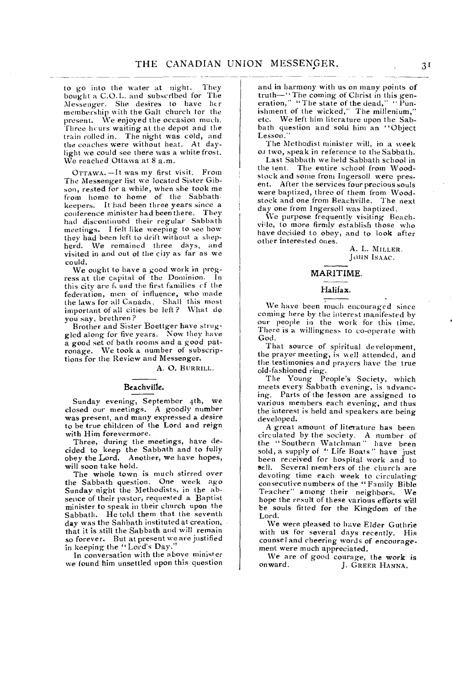to go into the water at night. They bought a C.O.L. and subscribed for The Messenger. She desires to have her membership with the Galt church for the present. We enjoyed the occasion much. Three hours waiting at the depot and the train rolled in. The night was cold, and the coaches were without heat. At daylight we could see there was a white frost. We reached Ottawa at 8 a.m.

OTTAWA. - It was my first visit. From The Messenger list we located Sister Gibson, rested for a while, when she took me from home to home of the Sabbathkeepers. It had been three years since a conference minister had been there. They had discontinued their regular Sabbath meetings. I felt like weeping to see how they had been left to drift without a shepherd. We remained three days, and visited in and out of the city as far as we could.

We ought to have a good work in prog-ress at the capital of the Dominion. In this city are feund the first families of the federation, men of influence, who made the laws for all Canada. Shall this most important of all cities be left? What do you say, brethren?

Brother and Sister Boettger have struggled along for five years. Now they have a good set of bath rooms and a good patronage. We took a number of subscriptions for the Review and Messenger.

A. 0. BURRILL.

#### Beachville.

Sunday evening, September 4th, we closed our meetings. A goodly number was present, and many expressed a desire to be true children of the Lord and reign with Him forevermore.

Three, during the meetings, have decided to keep the Sabbath and to fully obey the Lord. Another, we have hopes, will soon take hold.

The whole town is much stirred over the Sabbath question. One week ago Sunday night the Methodists, in the absence of their pastor, requested a Baptist minister to speak in their church upon the Sabbath. He told them that the seventh day was the Sabbath instituted at creation, that it is still the Sabbath and will remain so forever. But at present we are justified in keeping the " Lord's Day."

In conversation with the above minister we found him unsettled upon this question and in harmony with us on many points of truth—" The coming of Christ in this generation," "The state of the dead," " Punishment of the wicked," The millenium," etc. We left him literature upon the Sabbath question and sold him an "Object Lesson."

The Methodist minister will, in a week 0.1 two, speak in reference to the Sabbath.

Last Sabbath we held Sabbath school in the tent. The entire school from Woodstock and some from Ingersoll were present. After the services four precious souls were baptized, three of them from Woodstock and one from Beachville. The next day one from Ingersoll was baptized.

We purpose frequently visiting BeachviUe, to more firmly establish those who have decided to obey, and to look after other interested ones.

> A. L. MILLER. JOHN ISAAC.

#### MARITIME.

#### Halifax.

We have been much encouraged since coming here by the interest manifested by our people in the work for this time. There is a willingness to co-operate with God.

That source of spiritual development, the prayer meeting, is well attended, and the testimonies and prayers have the true old-fashioned ring.

The Young People's Society, which meets every Sabbath evening, is advancing. Parts of the lesson are assigned to various members each evening, and thus the interest is held and speakers are being developed.

A great amount of literature has been circulated by the society. A number of the "Southern Watchman" have been sold, a supply of " Life Boats" have just been received for hospital work and to sell. Several members of the church are devoting time each week to circulating consecutive numbers of the "Family Bible Teacher" among their neighbors. We hope the result of these various efforts will be souls fitted for the Kingdom of the Lord.

We were pleased to have Elder Guthrie with us for several days recently. His counsel and cheering words of encouragement were much appreciated.

We are of good courage, the work is<br>onward. [. GREER HANNA.] J. GREER HANNA.